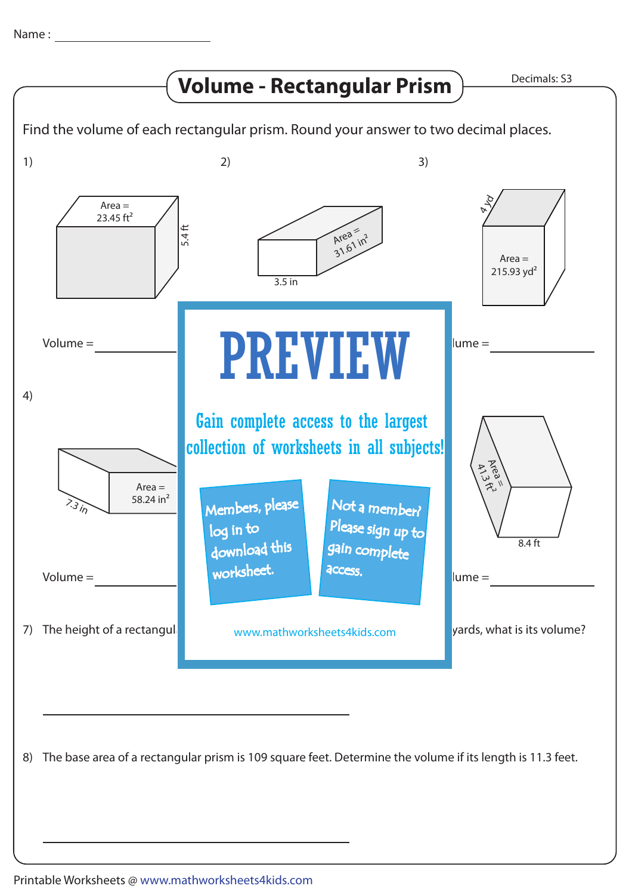